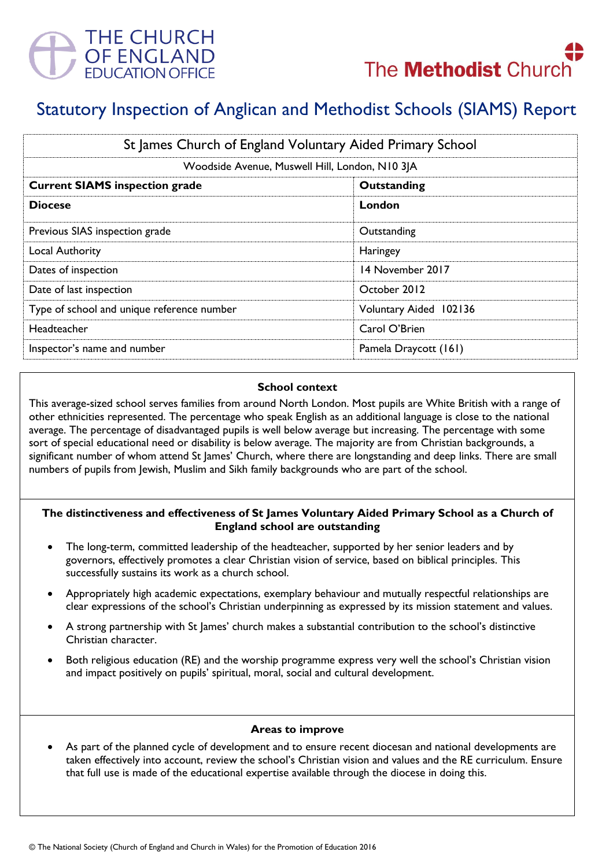



# Statutory Inspection of Anglican and Methodist Schools (SIAMS) Report

| St James Church of England Voluntary Aided Primary School |                        |
|-----------------------------------------------------------|------------------------|
| Woodside Avenue, Muswell Hill, London, N10 3JA            |                        |
| <b>Current SIAMS inspection grade</b>                     | Outstanding            |
| <b>Diocese</b>                                            | London                 |
| Previous SIAS inspection grade                            | Outstanding            |
| Local Authority                                           | Haringey               |
| Dates of inspection                                       | 14 November 2017       |
| Date of last inspection                                   | October 2012           |
| Type of school and unique reference number                | Voluntary Aided 102136 |
| Headteacher                                               | Carol O'Brien          |
| Inspector's name and number                               | Pamela Draycott (161)  |

### **School context**

This average-sized school serves families from around North London. Most pupils are White British with a range of other ethnicities represented. The percentage who speak English as an additional language is close to the national average. The percentage of disadvantaged pupils is well below average but increasing. The percentage with some sort of special educational need or disability is below average. The majority are from Christian backgrounds, a significant number of whom attend St James' Church, where there are longstanding and deep links. There are small numbers of pupils from Jewish, Muslim and Sikh family backgrounds who are part of the school.

# **The distinctiveness and effectiveness of St James Voluntary Aided Primary School as a Church of England school are outstanding**

- The long-term, committed leadership of the headteacher, supported by her senior leaders and by governors, effectively promotes a clear Christian vision of service, based on biblical principles. This successfully sustains its work as a church school.
- Appropriately high academic expectations, exemplary behaviour and mutually respectful relationships are clear expressions of the school's Christian underpinning as expressed by its mission statement and values.
- A strong partnership with St James' church makes a substantial contribution to the school's distinctive Christian character.
- Both religious education (RE) and the worship programme express very well the school's Christian vision and impact positively on pupils' spiritual, moral, social and cultural development.

#### **Areas to improve**

 As part of the planned cycle of development and to ensure recent diocesan and national developments are taken effectively into account, review the school's Christian vision and values and the RE curriculum. Ensure that full use is made of the educational expertise available through the diocese in doing this.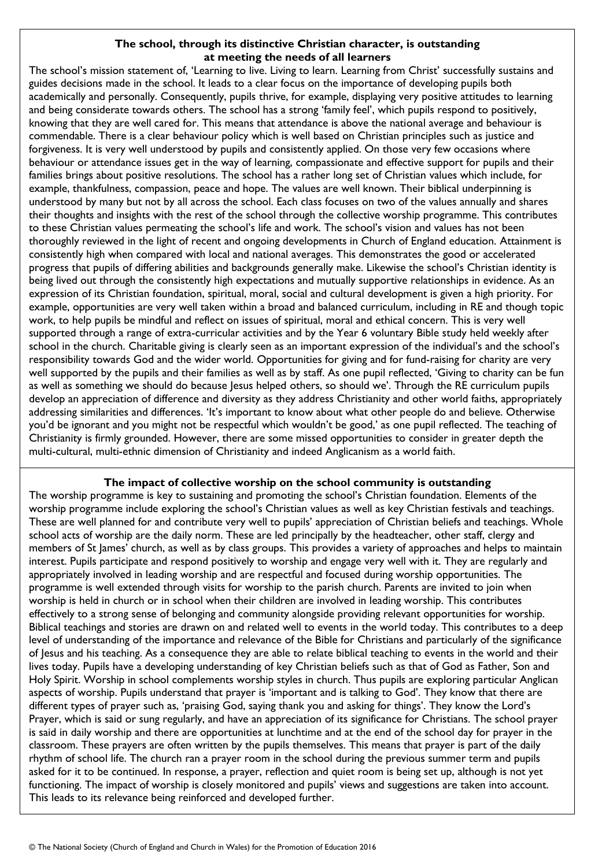## **The school, through its distinctive Christian character, is outstanding at meeting the needs of all learners**

The school's mission statement of, 'Learning to live. Living to learn. Learning from Christ' successfully sustains and guides decisions made in the school. It leads to a clear focus on the importance of developing pupils both academically and personally. Consequently, pupils thrive, for example, displaying very positive attitudes to learning and being considerate towards others. The school has a strong 'family feel', which pupils respond to positively, knowing that they are well cared for. This means that attendance is above the national average and behaviour is commendable. There is a clear behaviour policy which is well based on Christian principles such as justice and forgiveness. It is very well understood by pupils and consistently applied. On those very few occasions where behaviour or attendance issues get in the way of learning, compassionate and effective support for pupils and their families brings about positive resolutions. The school has a rather long set of Christian values which include, for example, thankfulness, compassion, peace and hope. The values are well known. Their biblical underpinning is understood by many but not by all across the school. Each class focuses on two of the values annually and shares their thoughts and insights with the rest of the school through the collective worship programme. This contributes to these Christian values permeating the school's life and work. The school's vision and values has not been thoroughly reviewed in the light of recent and ongoing developments in Church of England education. Attainment is consistently high when compared with local and national averages. This demonstrates the good or accelerated progress that pupils of differing abilities and backgrounds generally make. Likewise the school's Christian identity is being lived out through the consistently high expectations and mutually supportive relationships in evidence. As an expression of its Christian foundation, spiritual, moral, social and cultural development is given a high priority. For example, opportunities are very well taken within a broad and balanced curriculum, including in RE and though topic work, to help pupils be mindful and reflect on issues of spiritual, moral and ethical concern. This is very well supported through a range of extra-curricular activities and by the Year 6 voluntary Bible study held weekly after school in the church. Charitable giving is clearly seen as an important expression of the individual's and the school's responsibility towards God and the wider world. Opportunities for giving and for fund-raising for charity are very well supported by the pupils and their families as well as by staff. As one pupil reflected, 'Giving to charity can be fun as well as something we should do because Jesus helped others, so should we'. Through the RE curriculum pupils develop an appreciation of difference and diversity as they address Christianity and other world faiths, appropriately addressing similarities and differences. 'It's important to know about what other people do and believe. Otherwise you'd be ignorant and you might not be respectful which wouldn't be good,' as one pupil reflected. The teaching of Christianity is firmly grounded. However, there are some missed opportunities to consider in greater depth the multi-cultural, multi-ethnic dimension of Christianity and indeed Anglicanism as a world faith.

# **The impact of collective worship on the school community is outstanding**

The worship programme is key to sustaining and promoting the school's Christian foundation. Elements of the worship programme include exploring the school's Christian values as well as key Christian festivals and teachings. These are well planned for and contribute very well to pupils' appreciation of Christian beliefs and teachings. Whole school acts of worship are the daily norm. These are led principally by the headteacher, other staff, clergy and members of St James' church, as well as by class groups. This provides a variety of approaches and helps to maintain interest. Pupils participate and respond positively to worship and engage very well with it. They are regularly and appropriately involved in leading worship and are respectful and focused during worship opportunities. The programme is well extended through visits for worship to the parish church. Parents are invited to join when worship is held in church or in school when their children are involved in leading worship. This contributes effectively to a strong sense of belonging and community alongside providing relevant opportunities for worship. Biblical teachings and stories are drawn on and related well to events in the world today. This contributes to a deep level of understanding of the importance and relevance of the Bible for Christians and particularly of the significance of Jesus and his teaching. As a consequence they are able to relate biblical teaching to events in the world and their lives today. Pupils have a developing understanding of key Christian beliefs such as that of God as Father, Son and Holy Spirit. Worship in school complements worship styles in church. Thus pupils are exploring particular Anglican aspects of worship. Pupils understand that prayer is 'important and is talking to God'. They know that there are different types of prayer such as, 'praising God, saying thank you and asking for things'. They know the Lord's Prayer, which is said or sung regularly, and have an appreciation of its significance for Christians. The school prayer is said in daily worship and there are opportunities at lunchtime and at the end of the school day for prayer in the classroom. These prayers are often written by the pupils themselves. This means that prayer is part of the daily rhythm of school life. The church ran a prayer room in the school during the previous summer term and pupils asked for it to be continued. In response, a prayer, reflection and quiet room is being set up, although is not yet functioning. The impact of worship is closely monitored and pupils' views and suggestions are taken into account. This leads to its relevance being reinforced and developed further.